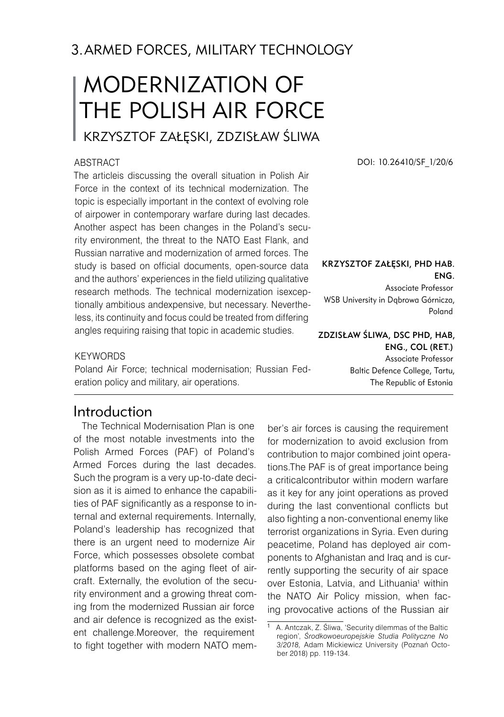## 3.ARMED FORCES, MILITARY TECHNOLOGY

# MODERNIZATION OF THE POLISH AIR FORCE

# Krzysztof Załęski, Zdzisław Śliwa

#### **ABSTRACT**

The articleis discussing the overall situation in Polish Air Force in the context of its technical modernization. The topic is especially important in the context of evolving role of airpower in contemporary warfare during last decades. Another aspect has been changes in the Poland's security environment, the threat to the NATO East Flank, and Russian narrative and modernization of armed forces. The study is based on official documents, open-source data and the authors' experiences in the field utilizing qualitative research methods. The technical modernization isexceptionally ambitious andexpensive, but necessary. Nevertheless, its continuity and focus could be treated from differing angles requiring raising that topic in academic studies.

DOI: 10.26410/SF\_1/20/6

#### KRZYSZTOF ZAŁĘSKI, PHD HAB. Eng.

Associate Professor WSB University in Dąbrowa Górnicza, Poland

Zdzisław Śliwa, DSc PhD, Hab, Eng., Col (ret.) Associate Professor Baltic Defence College, Tartu, The Republic of Estonia

#### **KEYWORDS**

Poland Air Force; technical modernisation; Russian Federation policy and military, air operations.

#### Introduction

The Technical Modernisation Plan is one of the most notable investments into the Polish Armed Forces (PAF) of Poland's Armed Forces during the last decades. Such the program is a very up-to-date decision as it is aimed to enhance the capabilities of PAF significantly as a response to internal and external requirements. Internally, Poland's leadership has recognized that there is an urgent need to modernize Air Force, which possesses obsolete combat platforms based on the aging fleet of aircraft. Externally, the evolution of the security environment and a growing threat coming from the modernized Russian air force and air defence is recognized as the existent challenge.Moreover, the requirement to fight together with modern NATO mem-

ber's air forces is causing the requirement for modernization to avoid exclusion from contribution to major combined joint operations.The PAF is of great importance being a criticalcontributor within modern warfare as it key for any joint operations as proved during the last conventional conflicts but also fighting a non-conventional enemy like terrorist organizations in Syria. Even during peacetime, Poland has deployed air components to Afghanistan and Iraq and is currently supporting the security of air space over Estonia, Latvia, and Lithuania<sup>1</sup> within the NATO Air Policy mission, when facing provocative actions of the Russian air

A. Antczak, Z. Śliwa, 'Security dilemmas of the Baltic region', *Środkowoeuropejskie Studia Polityczne No 3/2018,* Adam Mickiewicz University (Poznań October 2018) pp. 119-134.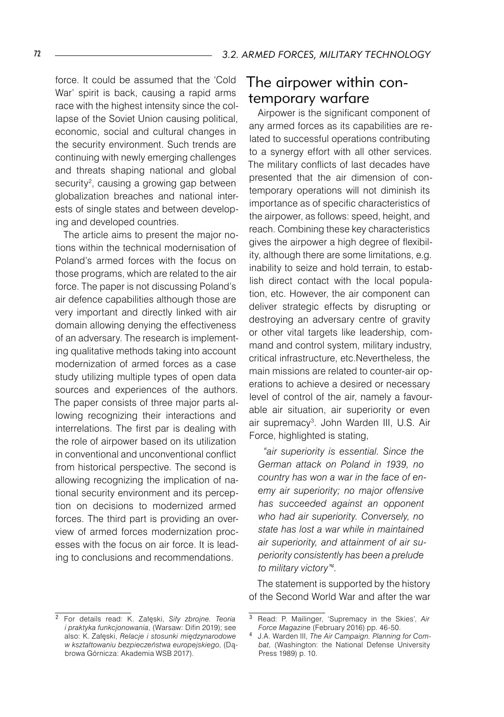force. It could be assumed that the 'Cold War' spirit is back, causing a rapid arms race with the highest intensity since the collapse of the Soviet Union causing political, economic, social and cultural changes in the security environment. Such trends are continuing with newly emerging challenges and threats shaping national and global security<sup>2</sup>, causing a growing gap between globalization breaches and national interests of single states and between developing and developed countries.

The article aims to present the major notions within the technical modernisation of Poland's armed forces with the focus on those programs, which are related to the air force. The paper is not discussing Poland's air defence capabilities although those are very important and directly linked with air domain allowing denying the effectiveness of an adversary. The research is implementing qualitative methods taking into account modernization of armed forces as a case study utilizing multiple types of open data sources and experiences of the authors. The paper consists of three major parts allowing recognizing their interactions and interrelations. The first par is dealing with the role of airpower based on its utilization in conventional and unconventional conflict from historical perspective. The second is allowing recognizing the implication of national security environment and its perception on decisions to modernized armed forces. The third part is providing an overview of armed forces modernization processes with the focus on air force. It is leading to conclusions and recommendations.

### The airpower within contemporary warfare

Airpower is the significant component of any armed forces as its capabilities are related to successful operations contributing to a synergy effort with all other services. The military conflicts of last decades have presented that the air dimension of contemporary operations will not diminish its importance as of specific characteristics of the airpower, as follows: speed, height, and reach. Combining these key characteristics gives the airpower a high degree of flexibility, although there are some limitations, e.g. inability to seize and hold terrain, to establish direct contact with the local population, etc. However, the air component can deliver strategic effects by disrupting or destroying an adversary centre of gravity or other vital targets like leadership, command and control system, military industry, critical infrastructure, etc.Nevertheless, the main missions are related to counter-air operations to achieve a desired or necessary level of control of the air, namely a favourable air situation, air superiority or even air supremacy<sup>3</sup>. John Warden III, U.S. Air Force, highlighted is stating,

*"air superiority is essential. Since the German attack on Poland in 1939, no country has won a war in the face of enemy air superiority; no major offensive has succeeded against an opponent who had air superiority. Conversely, no state has lost a war while in maintained air superiority, and attainment of air superiority consistently has been a prelude to military victory".*

The statement is supported by the history of the Second World War and after the war

For details read: K. Załęski, *Siły zbrojne. Teoria i praktyka funkcjonowania*, (Warsaw: Difin 2019); see also: K. Załęski, *Relacje i stosunki międzynarodowe w kształtowaniu bezpieczeństwa europejskiego*, (Dąbrowa Górnicza: Akademia WSB 2017).

 $\overline{3}$  Read: P. Mailinger, 'Supremacy in the Skies', Air *Force Magazine* (February 2016) pp. 46-50.

J.A. Warden III, *The Air Campaign. Planning for Combat*, (Washington: the National Defense University Press 1989) p. 10.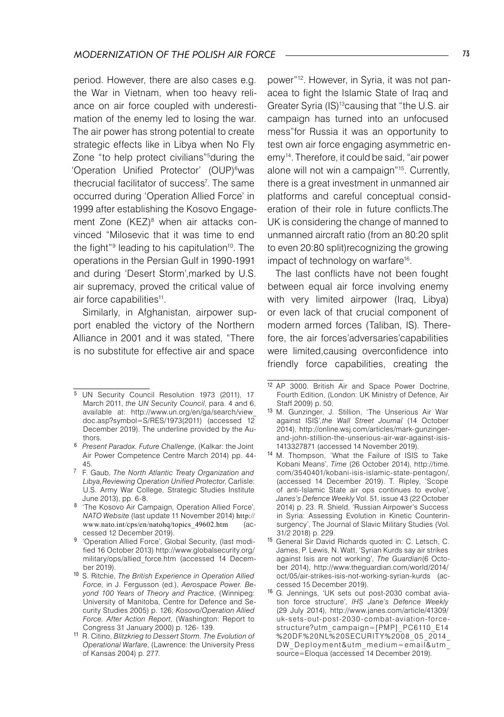period. However, there are also cases e.g. the War in Vietnam, when too heavy reliance on air force coupled with underestimation of the enemy led to losing the war. The air power has strong potential to create strategic effects like in Libya when No Fly Zone "to help protect civilians"<sup>5</sup> during the 'Operation Unified Protector' (OUP)<sup>6</sup>was thecrucial facilitator of success<sup>7</sup>. The same occurred during 'Operation Allied Force' in 1999 after establishing the Kosovo Engagement Zone (KEZ)<sup>8</sup> when air attacks convinced "Milosevic that it was time to end the fight"<sup>9</sup> leading to his capitulation<sup>10</sup>. The operations in the Persian Gulf in 1990-1991 and during 'Desert Storm',marked by U.S. air supremacy, proved the critical value of air force capabilities<sup>11</sup>.

Similarly, in Afghanistan, airpower support enabled the victory of the Northern Alliance in 2001 and it was stated, "There is no substitute for effective air and space

8 'The Kosovo Air Campaign, Operation Allied Force', *NATO Website* (last update 11 November 2014) http:// www.nato.int/cps/en/natohq/topics\_49602.htm (accessed 12 December 2019).

power"12 . However, in Syria, it was not panacea to fight the Islamic State of Iraq and Greater Syria (IS)13causing that "the U.S. air campaign has turned into an unfocused mess"for Russia it was an opportunity to test own air force engaging asymmetric enemy14 . Therefore, it could be said, "air power alone will not win a campaign"15 . Currently, there is a great investment in unmanned air platforms and careful conceptual consideration of their role in future conflicts.The UK is considering the change of manned to unmanned aircraft ratio (from an 80:20 split to even 20:80 split)recognizing the growing impact of technology on warfare16 .

The last conflicts have not been fought between equal air force involving enemy with very limited airpower (Iraq, Libya) or even lack of that crucial component of modern armed forces (Taliban, IS). Therefore, the air forces'adversaries'capabilities were limited,causing overconfidence into friendly force capabilities, creating the

<sup>&</sup>lt;sup>5</sup> UN Security Council Resolution 1973 (2011), 17 March 2011, *the UN Security Council*, para. 4 and 6, available at: http://www.un.org/en/ga/search/view\_ doc.asp?symbol=S/RES/1973(2011) (accessed 12 December 2019). The underline provided by the Authors.

*Present Paradox. Future Challenge*, (Kalkar: the Joint Air Power Competence Centre March 2014) pp. 44- 45.

 F. Gaub, *The North Atlantic Treaty Organization and Libya,Reviewing Operation Unified Protector*, Carlisle: U.S. Army War College, Strategic Studies Institute June 2013), pp. 6-8.

<sup>9 &#</sup>x27;Operation Allied Force', Global Security, (last modified 16 October 2013) http://www.globalsecurity.org/ military/ops/allied\_force.htm (accessed 14 December 2019).

<sup>10</sup> S. Ritchie, *The British Experience in Operation Allied Force*, in J. Fergusson (ed.), *Aerospace Power. Beyond 100 Years of Theory and Practice*, (Winnipeg: University of Manitoba, Centre for Defence and Security Studies 2005) p. 126; *Kosovo/Operation Allied Force. After Action Report*, (Washington: Report to Congress 31 January 2000) p. 126- 139.

<sup>11</sup> R. Citino, *Blitzkrieg to Dessert Storm. The Evolution of Operational Warfare*, (Lawrence: the University Press of Kansas 2004) p. 277.

<sup>12</sup> AP 3000. British Air and Space Power Doctrine, Fourth Edition, (London: UK Ministry of Defence, Air Staff 2009) p. 50,

<sup>13</sup> M. Gunzinger, J. Stillion, 'The Unserious Air War against ISIS*',the Wall Street Journal* (14 October 2014), http://online.wsj.com/articles/mark-gunzingerand-john-stillion-the-unserious-air-war-against-isis- 1413327871 (accessed 14 November 2019).

<sup>&</sup>lt;sup>14</sup> M. Thompson, 'What the Failure of ISIS to Take Kobani Means', *Time* (26 October 2014), http://time. com/3540401/kobani-isis-islamic-state-pentagon/, (accessed 14 December 2019). T. Ripley, 'Scope of anti-Islamic State air ops continues to evolve*'*, *Janes's Defence Weekly* Vol. 51, issue 43 (22 October 2014) p. 23. R. Shield, 'Russian Airpower's Success in Syria: Assessing Evolution in Kinetic Counterinsurgency', The Journal of Slavic Military Studies (Vol. 31/2 2018) p. 229.

<sup>15</sup> General Sir David Richards quoted in: C. Letsch, C. James, P. Lewis, N. Watt, 'Syrian Kurds say air strikes against Isis are not working', *The Guardian*(6 October 2014), http://www.theguardian.com/world/2014/ oct/05/air-strikes-isis-not-working-syrian-kurds (accessed 15 December 2019).

<sup>16</sup> G. Jennings, 'UK sets out post-2030 combat aviation force structure', *IHS Jane's Defence Weekly* (29 July 2014), http://www.janes.com/article/41309/ uk-sets-out-post-2030 -combat-aviation-forcestructure?utm\_campaign=[PMP]\_PC6110\_E14 %20DF%20NL%20SECURIT Y%2008\_05\_ 2014\_ DW Deployment&utm medium=email&utm source=Eloqua (accessed 14 December 2019).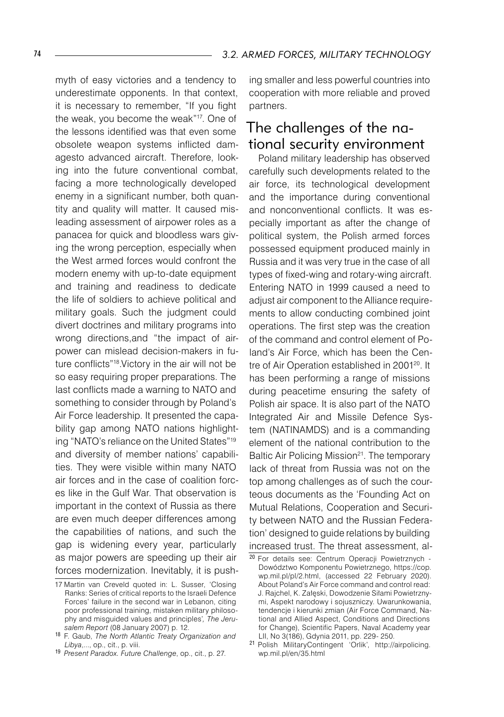myth of easy victories and a tendency to underestimate opponents. In that context, it is necessary to remember, "If you fight the weak, you become the weak"17 . One of the lessons identified was that even some obsolete weapon systems inflicted damagesto advanced aircraft. Therefore, looking into the future conventional combat, facing a more technologically developed enemy in a significant number, both quantity and quality will matter. It caused misleading assessment of airpower roles as a panacea for quick and bloodless wars giving the wrong perception, especially when the West armed forces would confront the modern enemy with up-to-date equipment and training and readiness to dedicate the life of soldiers to achieve political and military goals. Such the judgment could divert doctrines and military programs into wrong directions,and "the impact of airpower can mislead decision-makers in future conflicts"18 .Victory in the air will not be so easy requiring proper preparations. The last conflicts made a warning to NATO and something to consider through by Poland's Air Force leadership. It presented the capability gap among NATO nations highlighting "NATO's reliance on the United States"19 and diversity of member nations' capabilities. They were visible within many NATO air forces and in the case of coalition forces like in the Gulf War. That observation is important in the context of Russia as there are even much deeper differences among the capabilities of nations, and such the gap is widening every year, particularly as major powers are speeding up their air forces modernization. Inevitably, it is pushing smaller and less powerful countries into cooperation with more reliable and proved partners.

## The challenges of the national security environment

Poland military leadership has observed carefully such developments related to the air force, its technological development and the importance during conventional and nonconventional conflicts. It was especially important as after the change of political system, the Polish armed forces possessed equipment produced mainly in Russia and it was very true in the case of all types of fixed-wing and rotary-wing aircraft. Entering NATO in 1999 caused a need to adjust air component to the Alliance requirements to allow conducting combined joint operations. The first step was the creation of the command and control element of Poland's Air Force, which has been the Centre of Air Operation established in 200120. It has been performing a range of missions during peacetime ensuring the safety of Polish air space. It is also part of the NATO Integrated Air and Missile Defence System (NATINAMDS) and is a commanding element of the national contribution to the Baltic Air Policing Mission<sup>21</sup>. The temporary lack of threat from Russia was not on the top among challenges as of such the courteous documents as the 'Founding Act on Mutual Relations, Cooperation and Security between NATO and the Russian Federation' designed to guide relations by building increased trust. The threat assessment, al-

<sup>17</sup> Martin van Creveld quoted in: L. Susser, 'Closing Ranks: Series of critical reports to the Israeli Defence Forces' failure in the second war in Lebanon, citing poor professional training, mistaken military philosophy and misguided values and principles'*, The Jerusalem Report* (08 January 2007) p. 12.

<sup>18</sup> F. Gaub, *The North Atlantic Treaty Organization and Libya*,..., op., cit., p. viii.

<sup>19</sup> *Present Paradox. Future Challenge*, op., cit., p. 27.

<sup>20</sup> For details see: Centrum Operacji Powietrznych - Dowództwo Komponentu Powietrznego, https://cop. wp.mil.pl/pl/2.html, (accessed 22 February 2020). About Poland's Air Force command and control read: J. Rajchel, K. Załęski, Dowodzenie Siłami Powietrznymi, Aspekt narodowy i sojuszniczy. Uwarunkowania, tendencje i kierunki zmian (Air Force Command, National and Allied Aspect, Conditions and Directions for Change), Scientific Papers, Naval Academy year LII, No 3(186), Gdynia 2011, pp. 229- 250.

<sup>21</sup> Polish MilitaryContingent 'Orlik', http://airpolicing. wp.mil.pl/en/35.html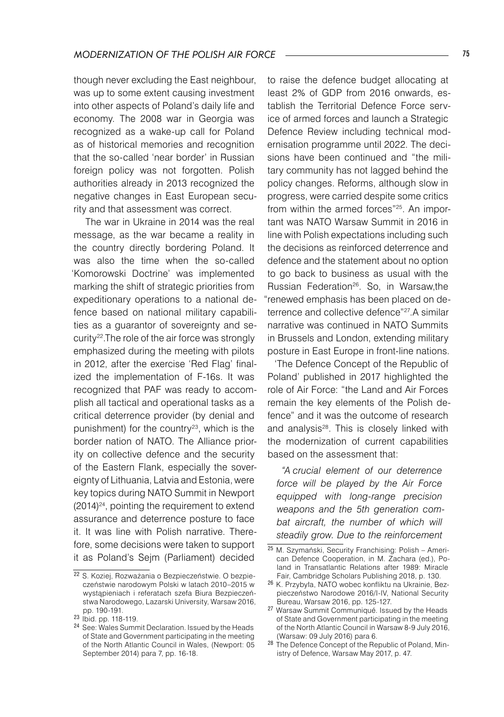though never excluding the East neighbour, was up to some extent causing investment into other aspects of Poland's daily life and economy. The 2008 war in Georgia was recognized as a wake-up call for Poland as of historical memories and recognition that the so-called 'near border' in Russian foreign policy was not forgotten. Polish authorities already in 2013 recognized the negative changes in East European security and that assessment was correct.

 The war in Ukraine in 2014 was the real message, as the war became a reality in the country directly bordering Poland. It was also the time when the so-called 'Komorowski Doctrine' was implemented marking the shift of strategic priorities from expeditionary operations to a national defence based on national military capabilities as a guarantor of sovereignty and security<sup>22</sup>. The role of the air force was strongly emphasized during the meeting with pilots in 2012, after the exercise 'Red Flag' finalized the implementation of F-16s. It was recognized that PAF was ready to accomplish all tactical and operational tasks as a critical deterrence provider (by denial and punishment) for the country<sup>23</sup>, which is the border nation of NATO. The Alliance priority on collective defence and the security of the Eastern Flank, especially the sovereignty of Lithuania, Latvia and Estonia, were key topics during NATO Summit in Newport  $(2014)^{24}$ , pointing the requirement to extend assurance and deterrence posture to face it. It was line with Polish narrative. Therefore, some decisions were taken to support it as Poland's Sejm (Parliament) decided

to raise the defence budget allocating at least 2% of GDP from 2016 onwards, establish the Territorial Defence Force service of armed forces and launch a Strategic Defence Review including technical modernisation programme until 2022. The decisions have been continued and "the military community has not lagged behind the policy changes. Reforms, although slow in progress, were carried despite some critics from within the armed forces"<sup>25</sup>. An important was NATO Warsaw Summit in 2016 in line with Polish expectations including such the decisions as reinforced deterrence and defence and the statement about no option to go back to business as usual with the Russian Federation26. So, in Warsaw,the "renewed emphasis has been placed on deterrence and collective defence"27.A similar narrative was continued in NATO Summits in Brussels and London, extending military posture in East Europe in front-line nations.

'The Defence Concept of the Republic of Poland' published in 2017 highlighted the role of Air Force: "the Land and Air Forces remain the key elements of the Polish defence" and it was the outcome of research and analysis<sup>28</sup>. This is closely linked with the modernization of current capabilities based on the assessment that:

*"A crucial element of our deterrence force will be played by the Air Force equipped with long-range precision weapons and the 5th generation combat aircraft, the number of which will steadily grow. Due to the reinforcement* 

<sup>&</sup>lt;sup>22</sup> S. Koziej, Rozważania o Bezpieczeństwie. O bezpieczeństwie narodowym Polski w latach 2010–2015 w wystąpieniach i referatach szefa Biura Bezpieczeństwa Narodowego, Lazarski University, Warsaw 2016, pp. 190-191.

<sup>23</sup> Ibid. pp. 118-119.

<sup>24</sup> See: Wales Summit Declaration. Issued by the Heads of State and Government participating in the meeting of the North Atlantic Council in Wales, (Newport: 05 September 2014) para 7, pp. 16-18.

<sup>&</sup>lt;sup>25</sup> M. Szymański, Security Franchising: Polish – American Defence Cooperation, in M. Zachara (ed.), Poland in Transatlantic Relations after 1989: Miracle Fair, Cambridge Scholars Publishing 2018, p. 130.

<sup>26</sup> K. Przybyła, NATO wobec konfliktu na Ukrainie, Bezpieczeństwo Narodowe 2016/I-IV, National Security Bureau, Warsaw 2016, pp. 125-127.

<sup>27</sup> Warsaw Summit Communiqué. Issued by the Heads of State and Government participating in the meeting of the North Atlantic Council in Warsaw 8-9 July 2016, (Warsaw: 09 July 2016) para 6.

<sup>28</sup> The Defence Concept of the Republic of Poland, Ministry of Defence, Warsaw May 2017, p. 47.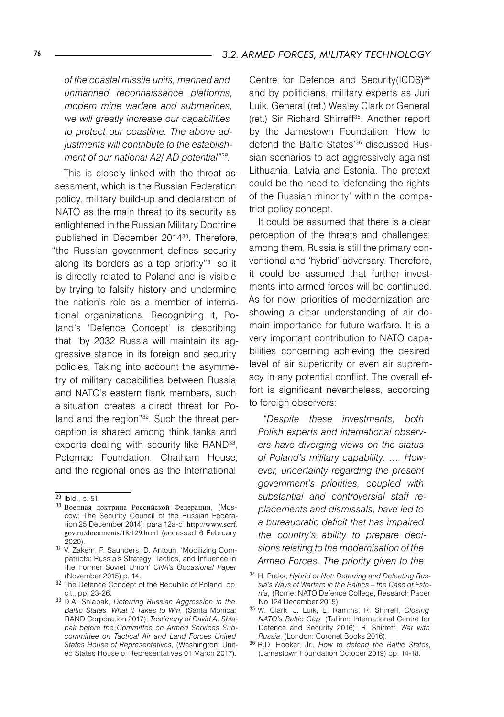*of the coastal missile units, manned and unmanned reconnaissance platforms, modern mine warfare and submarines, we will greatly increase our capabilities to protect our coastline. The above adjustments will contribute to the establishment of our national A2/ AD potential"29.* 

This is closely linked with the threat assessment, which is the Russian Federation policy, military build-up and declaration of NATO as the main threat to its security as enlightened in the Russian Military Doctrine published in December 2014<sup>30</sup>. Therefore, "the Russian government defines security along its borders as a top priority"<sup>31</sup> so it is directly related to Poland and is visible by trying to falsify history and undermine the nation's role as a member of international organizations. Recognizing it, Poland's 'Defence Concept' is describing that "by 2032 Russia will maintain its aggressive stance in its foreign and security policies. Taking into account the asymmetry of military capabilities between Russia and NATO's eastern flank members, such a situation creates a direct threat for Poland and the region<sup>"32</sup>. Such the threat perception is shared among think tanks and experts dealing with security like RAND<sup>33</sup>, Potomac Foundation, Chatham House, and the regional ones as the International

Centre for Defence and Security(ICDS)<sup>34</sup> and by politicians, military experts as Juri Luik, General (ret.) Wesley Clark or General (ret.) Sir Richard Shirreff35. Another report by the Jamestown Foundation 'How to defend the Baltic States'36 discussed Russian scenarios to act aggressively against Lithuania, Latvia and Estonia. The pretext could be the need to 'defending the rights of the Russian minority' within the compatriot policy concept.

It could be assumed that there is a clear perception of the threats and challenges; among them, Russia is still the primary conventional and 'hybrid' adversary. Therefore, it could be assumed that further investments into armed forces will be continued. As for now, priorities of modernization are showing a clear understanding of air domain importance for future warfare. It is a very important contribution to NATO capabilities concerning achieving the desired level of air superiority or even air supremacy in any potential conflict. The overall effort is significant nevertheless, according to foreign observers:

*"Despite these investments, both Polish experts and international observers have diverging views on the status of Poland's military capability. …. However, uncertainty regarding the present government's priorities, coupled with substantial and controversial staff replacements and dismissals, have led to a bureaucratic deficit that has impaired the country's ability to prepare decisions relating to the modernisation of the Armed Forces. The priority given to the* 

<sup>29</sup> Ibid., p. 51.

<sup>30</sup> Военная доктрина Российской Федерации, (Moscow: The Security Council of the Russian Federation 25 December 2014), para 12a-d, http://www.scrf. gov.ru/documents/18/129.html (accessed 6 February 2020).

<sup>31</sup> V. Zakem, P. Saunders, D. Antoun, 'Mobilizing Compatriots: Russia's Strategy, Tactics, and Influence in the Former Soviet Union' *CNA's Occasional Paper* (November 2015) p. 14.

<sup>&</sup>lt;sup>32</sup> The Defence Concept of the Republic of Poland, op. cit., pp. 23-26.

<sup>33</sup> D.A. Shlapak, *Deterring Russian Aggression in the Baltic States. What it Takes to Win,* (Santa Monica: RAND Corporation 2017); *Testimony of David A. Shlapak before the Committee on Armed Services Subcommittee on Tactical Air and Land Forces United States House of Representatives*, (Washington: United States House of Representatives 01 March 2017).

<sup>34</sup> H. Praks, *Hybrid or Not: Deterring and Defeating Russia's Ways of Warfare in the Baltics – the Case of Estonia,* (Rome: NATO Defence College, Research Paper No 124 December 2015).

<sup>35</sup> W. Clark, J. Luik, E. Ramms, R. Shirreff, *Closing NATO's Baltic Gap*, (Tallinn: International Centre for Defence and Security 2016); R. Shirreff, *War with Russia*, (London: Coronet Books 2016).

<sup>36</sup> R.D. Hooker, Jr., *How to defend the Baltic States,* (Jamestown Foundation October 2019) pp. 14-18.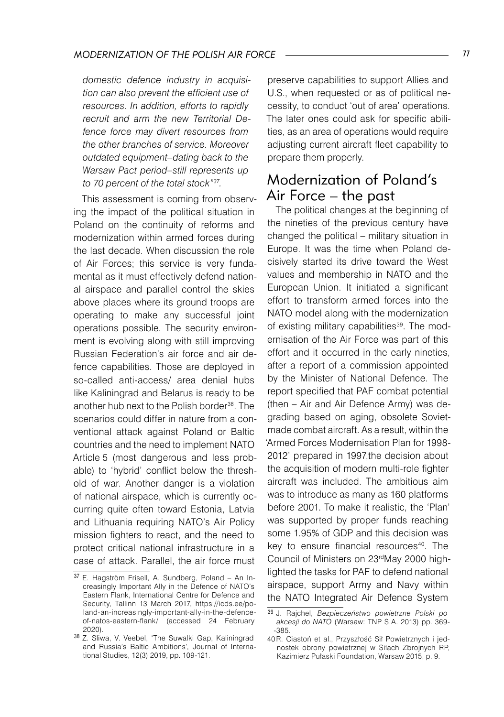*domestic defence industry in acquisition can also prevent the efficient use of resources. In addition, efforts to rapidly recruit and arm the new Territorial Defence force may divert resources from the other branches of service. Moreover outdated equipment–dating back to the Warsaw Pact period–still represents up to 70 percent of the total stock"37.*

This assessment is coming from observing the impact of the political situation in Poland on the continuity of reforms and modernization within armed forces during the last decade. When discussion the role of Air Forces; this service is very fundamental as it must effectively defend national airspace and parallel control the skies above places where its ground troops are operating to make any successful joint operations possible. The security environment is evolving along with still improving Russian Federation's air force and air defence capabilities. Those are deployed in so-called anti-access/ area denial hubs like Kaliningrad and Belarus is ready to be another hub next to the Polish border<sup>38</sup>. The scenarios could differ in nature from a conventional attack against Poland or Baltic countries and the need to implement NATO Article 5 (most dangerous and less probable) to 'hybrid' conflict below the threshold of war. Another danger is a violation of national airspace, which is currently occurring quite often toward Estonia, Latvia and Lithuania requiring NATO's Air Policy mission fighters to react, and the need to protect critical national infrastructure in a case of attack. Parallel, the air force must

preserve capabilities to support Allies and U.S., when requested or as of political necessity, to conduct 'out of area' operations. The later ones could ask for specific abilities, as an area of operations would require adjusting current aircraft fleet capability to prepare them properly.

## Modernization of Poland's Air Force – the past

The political changes at the beginning of the nineties of the previous century have changed the political – military situation in Europe. It was the time when Poland decisively started its drive toward the West values and membership in NATO and the European Union. It initiated a significant effort to transform armed forces into the NATO model along with the modernization of existing military capabilities<sup>39</sup>. The modernisation of the Air Force was part of this effort and it occurred in the early nineties, after a report of a commission appointed by the Minister of National Defence. The report specified that PAF combat potential (then – Air and Air Defence Army) was degrading based on aging, obsolete Sovietmade combat aircraft. As a result, within the 'Armed Forces Modernisation Plan for 1998- 2012' prepared in 1997,the decision about the acquisition of modern multi-role fighter aircraft was included. The ambitious aim was to introduce as many as 160 platforms before 2001. To make it realistic, the 'Plan' was supported by proper funds reaching some 1.95% of GDP and this decision was key to ensure financial resources<sup>40</sup>. The Council of Ministers on 23rdMay 2000 highlighted the tasks for PAF to defend national airspace, support Army and Navy within the NATO Integrated Air Defence System

<sup>37</sup> E. Hagström Frisell, A. Sundberg, Poland - An Increasingly Important Ally in the Defence of NATO's Eastern Flank, International Centre for Defence and Security, Tallinn 13 March 2017, https://icds.ee/poland-an-increasingly-important-ally-in-the-defenceof-natos-eastern-flank/ (accessed 24 February 2020).

<sup>38</sup> Z. Sliwa, V. Veebel, 'The Suwalki Gap, Kaliningrad and Russia's Baltic Ambitions', Journal of International Studies, 12(3) 2019, pp. 109-121.

<sup>39</sup> J. Rajchel, *Bezpieczeństwo powietrzne Polski po akcesji do NATO* (Warsaw: TNP S.A. 2013) pp. 369- -385.

<sup>40</sup>R. Ciastoń et al., Przyszłość Sił Powietrznych i jednostek obrony powietrznej w Siłach Zbrojnych RP, Kazimierz Pułaski Foundation, Warsaw 2015, p. 9.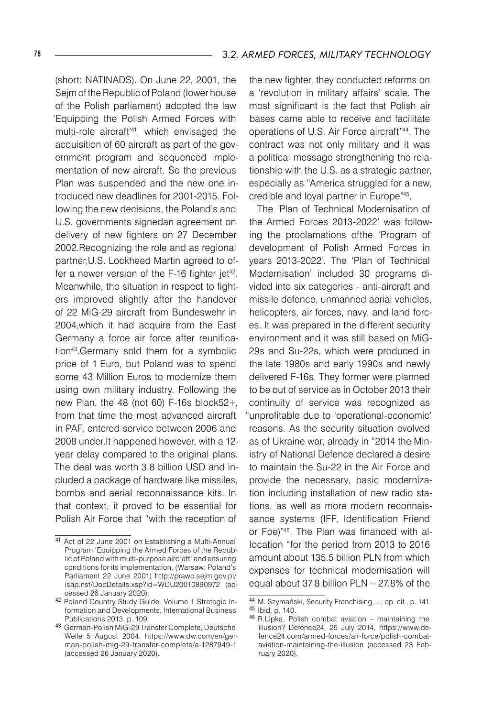(short: NATINADS). On June 22, 2001, the Sejm of the Republic of Poland (lower house of the Polish parliament) adopted the law 'Equipping the Polish Armed Forces with multi-role aircraft'41 , which envisaged the acquisition of 60 aircraft as part of the government program and sequenced implementation of new aircraft. So the previous Plan was suspended and the new one introduced new deadlines for 2001-2015. Following the new decisions, the Poland's and U.S. governments signedan agreement on delivery of new fighters on 27 December 2002.Recognizing the role and as regional partner,U.S. Lockheed Martin agreed to offer a newer version of the F-16 fighter jet<sup>42</sup>. Meanwhile, the situation in respect to fighters improved slightly after the handover of 22 MiG-29 aircraft from Bundeswehr in 2004,which it had acquire from the East Germany a force air force after reunification<sup>43</sup>.Germany sold them for a symbolic price of 1 Euro, but Poland was to spend some 43 Million Euros to modernize them using own military industry. Following the new Plan, the 48 (not 60) F-16s block52+, from that time the most advanced aircraft in PAF, entered service between 2006 and 2008 under.It happened however, with a 12 year delay compared to the original plans. The deal was worth 3.8 billion USD and included a package of hardware like missiles, bombs and aerial reconnaissance kits. In that context, it proved to be essential for Polish Air Force that "with the reception of

the new fighter, they conducted reforms on a 'revolution in military affairs' scale. The most significant is the fact that Polish air bases came able to receive and facilitate operations of U.S. Air Force aircraft"44. The contract was not only military and it was a political message strengthening the relationship with the U.S. as a strategic partner, especially as "America struggled for a new, credible and loyal partner in Europe"45.

The 'Plan of Technical Modernisation of the Armed Forces 2013-2022' was following the proclamations ofthe 'Program of development of Polish Armed Forces in years 2013-2022'. The 'Plan of Technical Modernisation' included 30 programs divided into six categories - anti-aircraft and missile defence, unmanned aerial vehicles, helicopters, air forces, navy, and land forces. It was prepared in the different security environment and it was still based on MiG-29s and Su-22s, which were produced in the late 1980s and early 1990s and newly delivered F-16s. They former were planned to be out of service as in October 2013 their continuity of service was recognized as "unprofitable due to 'operational-economic' reasons. As the security situation evolved as of Ukraine war, already in "2014 the Ministry of National Defence declared a desire to maintain the Su-22 in the Air Force and provide the necessary, basic modernization including installation of new radio stations, as well as more modern reconnaissance systems (IFF, Identification Friend or Foe)"46. The Plan was financed with allocation "for the period from 2013 to 2016 amount about 135.5 billion PLN from which expenses for technical modernisation will equal about 37.8 billion PLN – 27.8% of the

<sup>41</sup> Act of 22 June 2001 on Establishing a Multi-Annual Program 'Equipping the Armed Forces of the Republic of Poland with multi-purpose aircraft' and ensuring conditions for its implementation, (Warsaw: Poland's Parliament 22 June 2001) http://prawo.sejm.gov.pl/ isap.nsf/DocDetails.xsp?id=WDU20010890972 (accessed 26 January 2020).

<sup>42</sup> Poland Country Study Guide. Volume 1 Strategic Information and Developments, International Business Publications 2013, p. 109.

<sup>43</sup> German-Polish MiG-29 Transfer Complete, Deutsche Welle 5 August 2004, https://www.dw.com/en/german-polish-mig-29-transfer-complete/a-1287949-1 (accessed 26 January 2020).

<sup>44</sup> M. Szymański, Security Franchising,…, op. cit., p. 141. <sup>45</sup> Ibid, p. 140.

 $46$  R.Lipka, Polish combat aviation – maintaining the illusion? Defence24, 25 July 2014, https://www.defence24.com/armed-forces/air-force/polish-combataviation-maintaining-the-illusion (accessed 23 February 2020).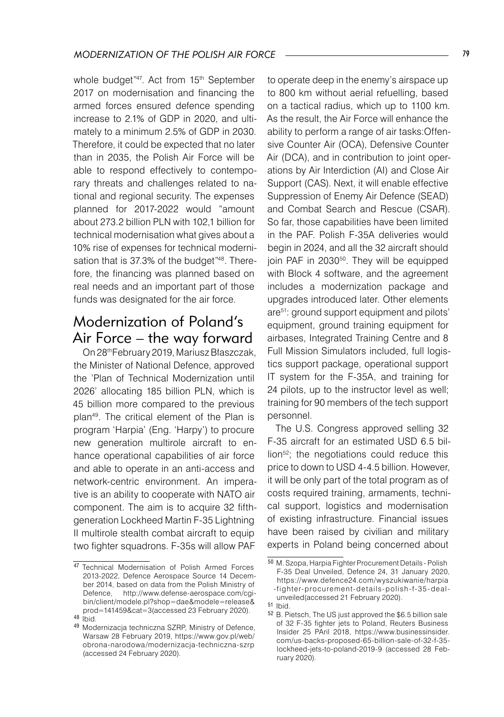whole budget"47. Act from 15<sup>th</sup> September 2017 on modernisation and financing the armed forces ensured defence spending increase to 2.1% of GDP in 2020, and ultimately to a minimum 2.5% of GDP in 2030. Therefore, it could be expected that no later than in 2035, the Polish Air Force will be able to respond effectively to contemporary threats and challenges related to national and regional security. The expenses planned for 2017-2022 would "amount about 273.2 billion PLN with 102,1 billion for technical modernisation what gives about a 10% rise of expenses for technical modernisation that is 37.3% of the budget"<sup>48</sup>. Therefore, the financing was planned based on real needs and an important part of those funds was designated for the air force.

### Modernization of Poland's Air Force – the way forward

On 28thFebruary 2019, Mariusz Błaszczak, the Minister of National Defence, approved the 'Plan of Technical Modernization until 2026' allocating 185 billion PLN, which is 45 billion more compared to the previous plan49. The critical element of the Plan is program 'Harpia' (Eng. 'Harpy') to procure new generation multirole aircraft to enhance operational capabilities of air force and able to operate in an anti-access and network-centric environment. An imperative is an ability to cooperate with NATO air component. The aim is to acquire 32 fifthgeneration Lockheed Martin F-35 Lightning II multirole stealth combat aircraft to equip two fighter squadrons. F-35s will allow PAF

to operate deep in the enemy's airspace up to 800 km without aerial refuelling, based on a tactical radius, which up to 1100 km. As the result, the Air Force will enhance the ability to perform a range of air tasks:Offensive Counter Air (OCA), Defensive Counter Air (DCA), and in contribution to joint operations by Air Interdiction (AI) and Close Air Support (CAS). Next, it will enable effective Suppression of Enemy Air Defence (SEAD) and Combat Search and Rescue (CSAR). So far, those capabilities have been limited in the PAF. Polish F-35A deliveries would begin in 2024, and all the 32 aircraft should join PAF in 2030<sup>50</sup>. They will be equipped with Block 4 software, and the agreement includes a modernization package and upgrades introduced later. Other elements are51 : ground support equipment and pilots' equipment, ground training equipment for airbases, Integrated Training Centre and 8 Full Mission Simulators included, full logistics support package, operational support IT system for the F-35A, and training for 24 pilots, up to the instructor level as well; training for 90 members of the tech support personnel.

The U.S. Congress approved selling 32 F-35 aircraft for an estimated USD 6.5 billion52; the negotiations could reduce this price to down to USD 4-4.5 billion. However, it will be only part of the total program as of costs required training, armaments, technical support, logistics and modernisation of existing infrastructure. Financial issues have been raised by civilian and military experts in Poland being concerned about

<sup>47</sup> Technical Modernisation of Polish Armed Forces 2013-2022, Defence Aerospace Source 14 December 2014, based on data from the Polish Ministry of Defence, http://www.defense-aerospace.com/cgibin/client/modele.pl?shop=dae&modele=release& prod=141459&cat=3(accessed 23 February 2020).

 $48$   $ibid.$ 

<sup>49</sup> Modernizacja techniczna SZRP, Ministry of Defence, Warsaw 28 February 2019, https://www.gov.pl/web/ obrona-narodowa/modernizacja-techniczna-szrp (accessed 24 February 2020).

<sup>50</sup> M. Szopa, Harpia Fighter Procurement Details - Polish F-35 Deal Unveiled, Defence 24, 31 January 2020, https://www.defence24.com/wyszukiwanie/harpia -fighter-procurement-details-polish-f-35 -dealunveiled(accessed 21 February 2020).

<sup>51</sup> Ibid.

<sup>52</sup> B. Pietsch, The US just approved the \$6.5 billion sale of 32 F-35 fighter jets to Poland, Reuters Business Insider 25 PAril 2018, https://www.businessinsider. com/us-backs-proposed-65-billion-sale-of-32-f-35 lockheed-jets-to-poland-2019-9 (accessed 28 February 2020).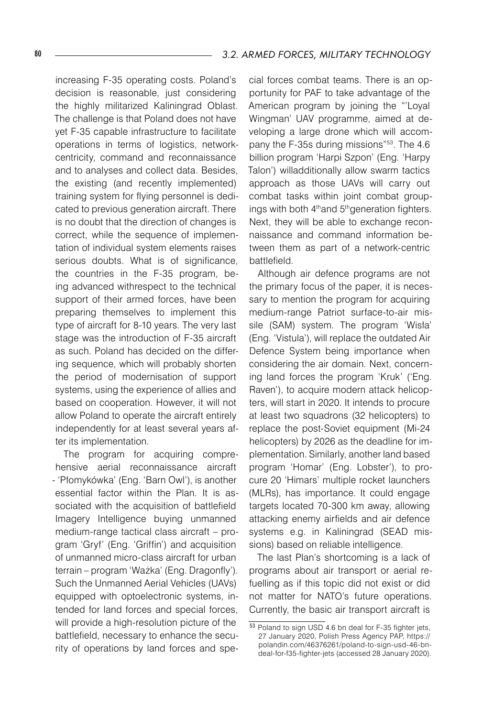increasing F-35 operating costs. Poland's decision is reasonable, just considering the highly militarized Kaliningrad Oblast. The challenge is that Poland does not have yet F-35 capable infrastructure to facilitate operations in terms of logistics, networkcentricity, command and reconnaissance and to analyses and collect data. Besides, the existing (and recently implemented) training system for flying personnel is dedicated to previous generation aircraft. There is no doubt that the direction of changes is correct, while the sequence of implementation of individual system elements raises serious doubts. What is of significance, the countries in the F-35 program, being advanced withrespect to the technical support of their armed forces, have been preparing themselves to implement this type of aircraft for 8-10 years. The very last stage was the introduction of F-35 aircraft as such. Poland has decided on the differing sequence, which will probably shorten the period of modernisation of support systems, using the experience of allies and based on cooperation. However, it will not allow Poland to operate the aircraft entirely independently for at least several years after its implementation.

The program for acquiring comprehensive aerial reconnaissance aircraft - 'Płomykówka' (Eng. 'Barn Owl'), is another essential factor within the Plan. It is associated with the acquisition of battlefield Imagery Intelligence buying unmanned medium-range tactical class aircraft – program 'Gryf' (Eng. 'Griffin') and acquisition of unmanned micro-class aircraft for urban terrain – program 'Ważka' (Eng. Dragonfly'). Such the Unmanned Aerial Vehicles (UAVs) equipped with optoelectronic systems, intended for land forces and special forces, will provide a high-resolution picture of the battlefield, necessary to enhance the security of operations by land forces and spe-

cial forces combat teams. There is an opportunity for PAF to take advantage of the American program by joining the "'Loyal Wingman' UAV programme, aimed at developing a large drone which will accompany the F-35s during missions"53. The 4.6 billion program 'Harpi Szpon' (Eng. 'Harpy Talon') willadditionally allow swarm tactics approach as those UAVs will carry out combat tasks within joint combat groupings with both 4<sup>th</sup>and 5<sup>th</sup>generation fighters. Next, they will be able to exchange reconnaissance and command information between them as part of a network-centric battlefield.

Although air defence programs are not the primary focus of the paper, it is necessary to mention the program for acquiring medium-range Patriot surface-to-air missile (SAM) system. The program 'Wisła' (Eng. 'Vistula'), will replace the outdated Air Defence System being importance when considering the air domain. Next, concerning land forces the program 'Kruk' ('Eng. Raven'), to acquire modern attack helicopters, will start in 2020. It intends to procure at least two squadrons (32 helicopters) to replace the post-Soviet equipment (Mi-24 helicopters) by 2026 as the deadline for implementation. Similarly, another land based program 'Homar' (Eng. Lobster'), to procure 20 'Himars' multiple rocket launchers (MLRs), has importance. It could engage targets located 70-300 km away, allowing attacking enemy airfields and air defence systems e.g. in Kaliningrad (SEAD missions) based on reliable intelligence.

The last Plan's shortcoming is a lack of programs about air transport or aerial refuelling as if this topic did not exist or did not matter for NATO's future operations. Currently, the basic air transport aircraft is

 $\overline{53}$  Poland to sign USD 4.6 bn deal for F-35 fighter jets, 27 January 2020, Polish Press Agency PAP, https:// polandin.com/46376261/poland-to-sign-usd-46-bndeal-for-f35-fighter-jets (accessed 28 January 2020).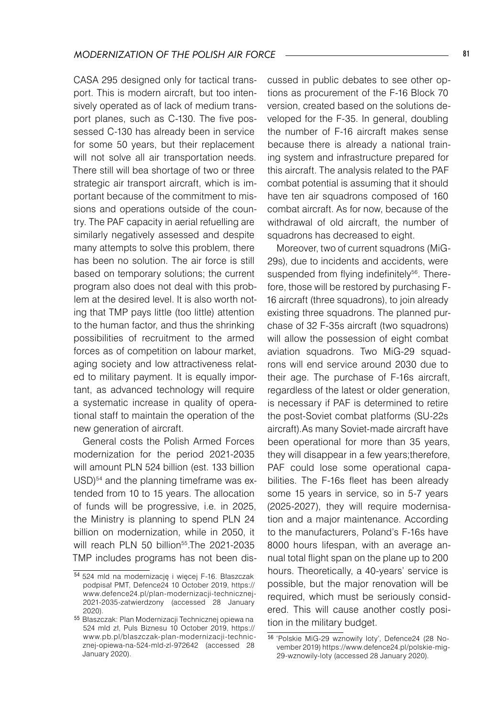CASA 295 designed only for tactical transport. This is modern aircraft, but too intensively operated as of lack of medium transport planes, such as C-130. The five possessed C-130 has already been in service for some 50 years, but their replacement will not solve all air transportation needs. There still will bea shortage of two or three strategic air transport aircraft, which is important because of the commitment to missions and operations outside of the country. The PAF capacity in aerial refuelling are similarly negatively assessed and despite many attempts to solve this problem, there has been no solution. The air force is still based on temporary solutions; the current program also does not deal with this problem at the desired level. It is also worth noting that TMP pays little (too little) attention to the human factor, and thus the shrinking possibilities of recruitment to the armed forces as of competition on labour market, aging society and low attractiveness related to military payment. It is equally important, as advanced technology will require a systematic increase in quality of operational staff to maintain the operation of the new generation of aircraft.

General costs the Polish Armed Forces modernization for the period 2021-2035 will amount PLN 524 billion (est. 133 billion USD)<sup>54</sup> and the planning timeframe was extended from 10 to 15 years. The allocation of funds will be progressive, i.e. in 2025, the Ministry is planning to spend PLN 24 billion on modernization, while in 2050, it will reach PLN 50 billion<sup>55</sup>. The 2021-2035 TMP includes programs has not been discussed in public debates to see other options as procurement of the F-16 Block 70 version, created based on the solutions developed for the F-35. In general, doubling the number of F-16 aircraft makes sense because there is already a national training system and infrastructure prepared for this aircraft. The analysis related to the PAF combat potential is assuming that it should have ten air squadrons composed of 160 combat aircraft. As for now, because of the withdrawal of old aircraft, the number of squadrons has decreased to eight.

Moreover, two of current squadrons (MiG-29s), due to incidents and accidents, were suspended from flying indefinitely<sup>56</sup>. Therefore, those will be restored by purchasing F- 16 aircraft (three squadrons), to join already existing three squadrons. The planned purchase of 32 F-35s aircraft (two squadrons) will allow the possession of eight combat aviation squadrons. Two MiG-29 squadrons will end service around 2030 due to their age. The purchase of F-16s aircraft, regardless of the latest or older generation, is necessary if PAF is determined to retire the post-Soviet combat platforms (SU-22s aircraft).As many Soviet-made aircraft have been operational for more than 35 years, they will disappear in a few years;therefore, PAF could lose some operational capabilities. The F-16s fleet has been already some 15 years in service, so in 5-7 years (2025-2027), they will require modernisation and a major maintenance. According to the manufacturers, Poland's F-16s have 8000 hours lifespan, with an average annual total flight span on the plane up to 200 hours. Theoretically, a 40-years' service is possible, but the major renovation will be required, which must be seriously considered. This will cause another costly position in the military budget.

<sup>54</sup> 524 mld na modernizację i więcej F-16. Błaszczak podpisał PMT, Defence24 10 October 2019, https:// www.defence24.pl/plan-modernizacji-technicznej-2021-2035-zatwierdzony (accessed 28 January 2020).

<sup>55</sup> Błaszczak: Plan Modernizacji Technicznej opiewa na 524 mld zł, Puls Biznesu 10 October 2019, https:// www.pb.pl/blaszczak-plan-modernizacji-technicznej-opiewa-na-524-mld-zl-972642 (accessed 28 January 2020).

<sup>56 &#</sup>x27;Polskie MiG-29 wznowiły loty', Defence24 (28 November 2019) https://www.defence24.pl/polskie-mig-29-wznowily-loty (accessed 28 January 2020).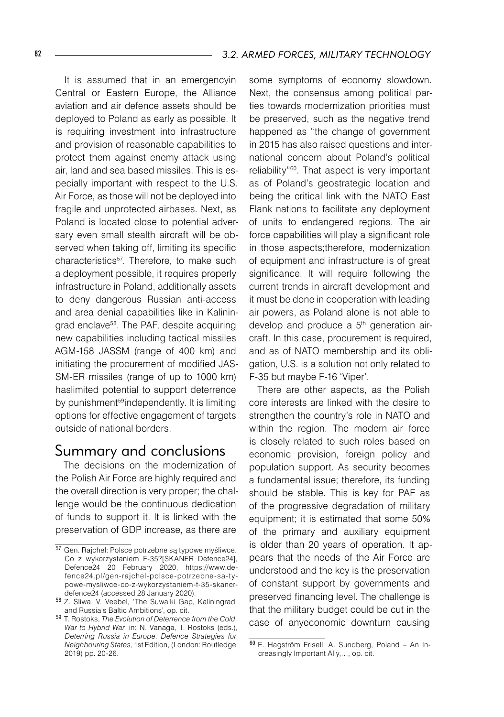It is assumed that in an emergencyin Central or Eastern Europe, the Alliance aviation and air defence assets should be deployed to Poland as early as possible. It is requiring investment into infrastructure and provision of reasonable capabilities to protect them against enemy attack using air, land and sea based missiles. This is especially important with respect to the U.S. Air Force, as those will not be deployed into fragile and unprotected airbases. Next, as Poland is located close to potential adversary even small stealth aircraft will be observed when taking off, limiting its specific characteristics<sup>57</sup>. Therefore, to make such a deployment possible, it requires properly infrastructure in Poland, additionally assets to deny dangerous Russian anti-access and area denial capabilities like in Kalininarad enclave<sup>58</sup>. The PAF, despite acquiring new capabilities including tactical missiles AGM-158 JASSM (range of 400 km) and initiating the procurement of modified JAS-SM-ER missiles (range of up to 1000 km) haslimited potential to support deterrence by punishment<sup>59</sup>independently. It is limiting options for effective engagement of targets outside of national borders.

#### Summary and conclusions

The decisions on the modernization of the Polish Air Force are highly required and the overall direction is very proper; the challenge would be the continuous dedication of funds to support it. It is linked with the preservation of GDP increase, as there are

some symptoms of economy slowdown. Next, the consensus among political parties towards modernization priorities must be preserved, such as the negative trend happened as "the change of government in 2015 has also raised questions and international concern about Poland's political reliability"60. That aspect is very important as of Poland's geostrategic location and being the critical link with the NATO East Flank nations to facilitate any deployment of units to endangered regions. The air force capabilities will play a significant role in those aspects;therefore, modernization of equipment and infrastructure is of great significance. It will require following the current trends in aircraft development and it must be done in cooperation with leading air powers, as Poland alone is not able to develop and produce a 5<sup>th</sup> generation aircraft. In this case, procurement is required, and as of NATO membership and its obligation, U.S. is a solution not only related to F-35 but maybe F-16 'Viper'.

There are other aspects, as the Polish core interests are linked with the desire to strengthen the country's role in NATO and within the region. The modern air force is closely related to such roles based on economic provision, foreign policy and population support. As security becomes a fundamental issue; therefore, its funding should be stable. This is key for PAF as of the progressive degradation of military equipment; it is estimated that some 50% of the primary and auxiliary equipment is older than 20 years of operation. It appears that the needs of the Air Force are understood and the key is the preservation of constant support by governments and preserved financing level. The challenge is that the military budget could be cut in the case of anyeconomic downturn causing

<sup>57</sup> Gen. Rajchel: Polsce potrzebne są typowe myśliwce. Co z wykorzystaniem F-35?[SKANER Defence24], Defence24 20 February 2020, https://www.defence24.pl/gen-rajchel-polsce-potrzebne-sa-typowe-mysliwce-co-z-wykorzystaniem-f-35-skanerdefence24 (accessed 28 January 2020).

<sup>58</sup> Z. Sliwa, V. Veebel, 'The Suwalki Gap, Kaliningrad and Russia's Baltic Ambitions', op. cit.

<sup>59</sup> T. Rostoks, *The Evolution of Deterrence from the Cold War to Hybrid War*, in: N. Vanaga, T. Rostoks (eds.), *Deterring Russia in Europe. Defence Strategies for Neighbouring States*, 1st Edition, (London: Routledge 2019) pp. 20-26.

<sup>60</sup> E. Hagström Frisell, A. Sundberg, Poland – An Increasingly Important Ally,…, op. cit.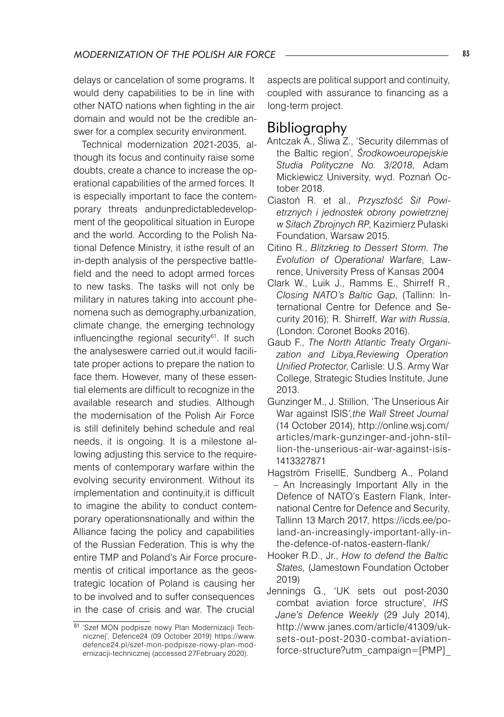delays or cancelation of some programs. It would deny capabilities to be in line with other NATO nations when fighting in the air domain and would not be the credible answer for a complex security environment.

Technical modernization 2021-2035, although its focus and continuity raise some doubts, create a chance to increase the operational capabilities of the armed forces. It is especially important to face the contemporary threats andunpredictabledevelopment of the geopolitical situation in Europe and the world. According to the Polish National Defence Ministry, it isthe result of an in-depth analysis of the perspective battlefield and the need to adopt armed forces to new tasks. The tasks will not only be military in natures taking into account phenomena such as demography,urbanization, climate change, the emerging technology influencingthe regional security<sup>61</sup>. If such the analyseswere carried out,it would facilitate proper actions to prepare the nation to face them. However, many of these essential elements are difficult to recognize in the available research and studies. Although the modernisation of the Polish Air Force is still definitely behind schedule and real needs, it is ongoing. It is a milestone allowing adjusting this service to the requirements of contemporary warfare within the evolving security environment. Without its implementation and continuity,it is difficult to imagine the ability to conduct contemporary operationsnationally and within the Alliance facing the policy and capabilities of the Russian Federation. This is why the entire TMP and Poland's Air Force procurementis of critical importance as the geostrategic location of Poland is causing her to be involved and to suffer consequences in the case of crisis and war. The crucial

aspects are political support and continuity, coupled with assurance to financing as a long-term project.

#### Bibliography

- Antczak A., Śliwa Z., 'Security dilemmas of the Baltic region', *Środkowoeuropejskie Studia Polityczne No. 3/2018,* Adam Mickiewicz University, wyd. Poznań October 2018.
- Ciastoń R. et al., *Przyszłość Sił Powietrznych i jednostek obrony powietrznej w Siłach Zbrojnych RP*, Kazimierz Pułaski Foundation, Warsaw 2015.
- Citino R., *Blitzkrieg to Dessert Storm. The Evolution of Operational Warfare*, Lawrence, University Press of Kansas 2004
- Clark W., Luik J., Ramms E., Shirreff R., *Closing NATO's Baltic Gap*, (Tallinn: International Centre for Defence and Security 2016); R. Shirreff, *War with Russia*, (London: Coronet Books 2016).
- Gaub F., *The North Atlantic Treaty Organization and Libya,Reviewing Operation Unified Protector*, Carlisle: U.S. Army War College, Strategic Studies Institute, June 2013.
- Gunzinger M., J. Stillion, 'The Unserious Air War against ISIS*',the Wall Street Journal* (14 October 2014), http://online.wsj.com/ articles/mark-gunzinger-and-john-stillion-the-unserious-air-war-against-isis- 1413327871
- Hagström FrisellE, Sundberg A., Poland – An Increasingly Important Ally in the Defence of NATO's Eastern Flank, International Centre for Defence and Security, Tallinn 13 March 2017, https://icds.ee/poland-an-increasingly-important-ally-inthe-defence-of-natos-eastern-flank/
- Hooker R.D., Jr., *How to defend the Baltic States,* (Jamestown Foundation October 2019)
- Jennings G., 'UK sets out post-2030 combat aviation force structure', *IHS Jane's Defence Weekly* (29 July 2014), http://www.janes.com/article/41309/uksets-out-post-2030-combat-aviationforce-structure?utm\_campaign=[PMP]\_

<sup>61 &#</sup>x27;Szef MON podpisze nowy Plan Modernizacji Technicznej', Defence24 (09 October 2019) https://www. defence24.pl/szef-mon-podpisze-nowy-plan-modernizacji-technicznej (accessed 27February 2020).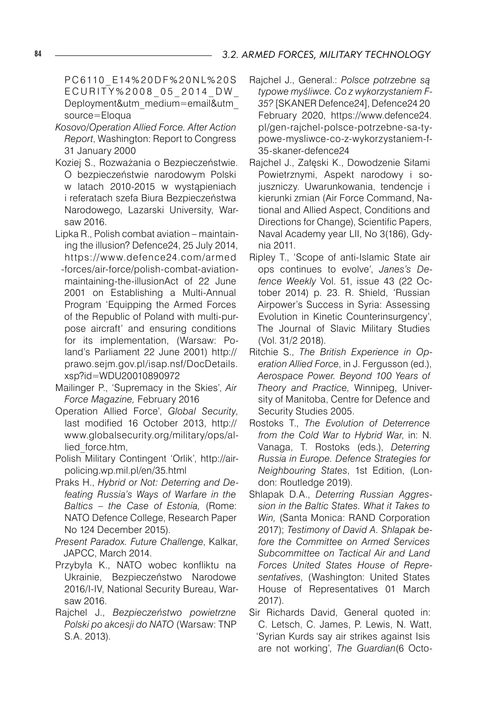P C 6 110 E 14 % 2 0 D F % 2 0 N L % 2 0 S ECURITY%2008 05 2014 DW Deployment&utm\_medium=email&utm\_ source=Eloqua

- *Kosovo/Operation Allied Force. After Action Report*, Washington: Report to Congress 31 January 2000
- Koziej S., Rozważania o Bezpieczeństwie. O bezpieczeństwie narodowym Polski w latach 2010-2015 w wystąpieniach i referatach szefa Biura Bezpieczeństwa Narodowego, Lazarski University, Warsaw 2016.
- Lipka R., Polish combat aviation maintaining the illusion? Defence24, 25 July 2014, https://w w w.defence24.com/armed -forces/air-force/polish-combat-aviationmaintaining-the-illusionAct of 22 June 2001 on Establishing a Multi-Annual Program 'Equipping the Armed Forces of the Republic of Poland with multi-purpose aircraft' and ensuring conditions for its implementation, (Warsaw: Poland's Parliament 22 June 2001) http:// prawo.sejm.gov.pl/isap.nsf/DocDetails. xsp?id=WDU20010890972
- Mailinger P., 'Supremacy in the Skies', *Air Force Magazine,* February 2016
- Operation Allied Force', *Global Security*, last modified 16 October 2013, http:// www.globalsecurity.org/military/ops/allied\_force.htm,
- Polish Military Contingent 'Orlik', http://airpolicing.wp.mil.pl/en/35.html
- Praks H., *Hybrid or Not: Deterring and Defeating Russia's Ways of Warfare in the Baltics – the Case of Estonia,* (Rome: NATO Defence College, Research Paper No 124 December 2015).
- *Present Paradox. Future Challenge*, Kalkar, JAPCC, March 2014.
- Przybyła K., NATO wobec konfliktu na Ukrainie, Bezpieczeństwo Narodowe 2016/I-IV, National Security Bureau, Warsaw 2016.
- Rajchel J., *Bezpieczeństwo powietrzne Polski po akcesji do NATO* (Warsaw: TNP S.A. 2013).
- Rajchel J., General.: *Polsce potrzebne są typowe myśliwce. Co z wykorzystaniem F-35?* [SKANER Defence24], Defence24 20 February 2020, https://www.defence24. pl/gen-rajchel-polsce-potrzebne-sa-typowe-mysliwce-co-z-wykorzystaniem-f-35-skaner-defence24
- Rajchel J., Załęski K., Dowodzenie Siłami Powietrznymi, Aspekt narodowy i sojuszniczy. Uwarunkowania, tendencje i kierunki zmian (Air Force Command, National and Allied Aspect, Conditions and Directions for Change), Scientific Papers, Naval Academy year LII, No 3(186), Gdynia 2011.
- Ripley T., 'Scope of anti-Islamic State air ops continues to evolve*'*, *Janes's Defence Weekly* Vol. 51, issue 43 (22 October 2014) p. 23. R. Shield, 'Russian Airpower's Success in Syria: Assessing Evolution in Kinetic Counterinsurgency', The Journal of Slavic Military Studies (Vol. 31/2 2018).
- Ritchie S., *The British Experience in Operation Allied Force*, in J. Fergusson (ed.), *Aerospace Power. Beyond 100 Years of Theory and Practice*, Winnipeg, University of Manitoba, Centre for Defence and Security Studies 2005.
- Rostoks T., *The Evolution of Deterrence from the Cold War to Hybrid War*, in: N. Vanaga, T. Rostoks (eds.), *Deterring Russia in Europe. Defence Strategies for Neighbouring States*, 1st Edition, (London: Routledge 2019).
- Shlapak D.A., *Deterring Russian Aggression in the Baltic States. What it Takes to Win,* (Santa Monica: RAND Corporation 2017); *Testimony of David A. Shlapak before the Committee on Armed Services Subcommittee on Tactical Air and Land Forces United States House of Representatives*, (Washington: United States House of Representatives 01 March 2017).
- Sir Richards David, General quoted in: C. Letsch, C. James, P. Lewis, N. Watt, 'Syrian Kurds say air strikes against Isis are not working', *The Guardian*(6 Octo-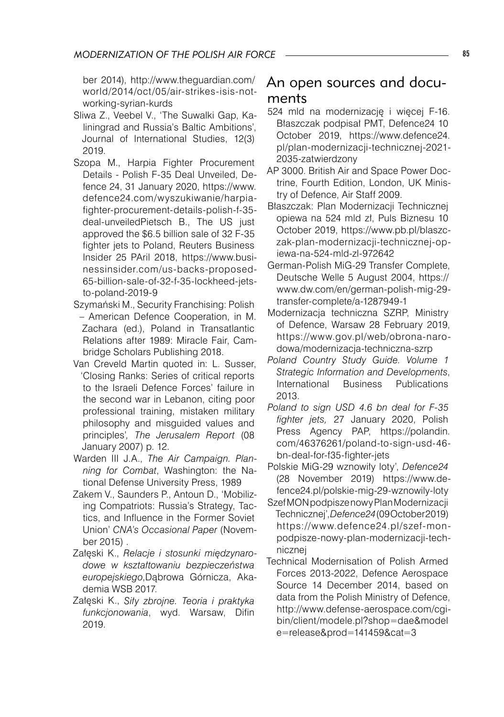ber 2014), http://www.theguardian.com/ world/2014/oct/05/air-strikes-isis-notworking-syrian-kurds

- Sliwa Z., Veebel V., 'The Suwalki Gap, Kaliningrad and Russia's Baltic Ambitions', Journal of International Studies, 12(3) 2019.
- Szopa M., Harpia Fighter Procurement Details - Polish F-35 Deal Unveiled, Defence 24, 31 January 2020, https://www. defence24.com/wyszukiwanie/harpiafighter-procurement-details-polish-f-35 deal-unveiledPietsch B., The US just approved the \$6.5 billion sale of 32 F-35 fighter jets to Poland, Reuters Business Insider 25 PAril 2018, https://www.businessinsider.com/us-backs-proposed-65-billion-sale-of-32-f-35-lockheed-jetsto-poland-2019-9
- Szymański M., Security Franchising: Polish – American Defence Cooperation, in M. Zachara (ed.), Poland in Transatlantic Relations after 1989: Miracle Fair, Cambridge Scholars Publishing 2018.
- Van Creveld Martin quoted in: L. Susser, 'Closing Ranks: Series of critical reports to the Israeli Defence Forces' failure in the second war in Lebanon, citing poor professional training, mistaken military philosophy and misguided values and principles'*, The Jerusalem Report* (08 January 2007) p. 12.
- Warden III J.A., *The Air Campaign. Planning for Combat*, Washington: the National Defense University Press, 1989
- Zakem V., Saunders P., Antoun D., 'Mobilizing Compatriots: Russia's Strategy, Tactics, and Influence in the Former Soviet Union' *CNA's Occasional Paper* (November 2015) .
- Załęski K., *Relacje i stosunki międzynarodowe w kształtowaniu bezpieczeństwa europejskiego*,Dąbrowa Górnicza, Akademia WSB 2017.
- Załęski K., *Siły zbrojne. Teoria i praktyka funkcjonowania*, wyd. Warsaw, Difin 2019.

### An open sources and documents

- 524 mld na modernizację i więcej F-16. Błaszczak podpisał PMT, Defence24 10 October 2019, https://www.defence24. pl/plan-modernizacji-technicznej-2021- 2035-zatwierdzony
- AP 3000. British Air and Space Power Doctrine, Fourth Edition, London, UK Ministry of Defence, Air Staff 2009.
- Błaszczak: Plan Modernizacji Technicznej opiewa na 524 mld zł, Puls Biznesu 10 October 2019, https://www.pb.pl/blaszczak-plan-modernizacji-technicznej-opiewa-na-524-mld-zl-972642
- German-Polish MiG-29 Transfer Complete, Deutsche Welle 5 August 2004, https:// www.dw.com/en/german-polish-mig-29 transfer-complete/a-1287949-1
- Modernizacja techniczna SZRP, Ministry of Defence, Warsaw 28 February 2019, https://www.gov.pl/web/obrona-narodowa/modernizacja-techniczna-szrp
- *Poland Country Study Guide. Volume 1 Strategic Information and Developments*, International Business Publications 2013.
- *Poland to sign USD 4.6 bn deal for F-35 fighter jets,* 27 January 2020, Polish Press Agency PAP, https://polandin. com/46376261/poland-to-sign-usd-46 bn-deal-for-f35-fighter-jets
- Polskie MiG-29 wznowiły loty', *Defence24* (28 November 2019) https://www.defence24.pl/polskie-mig-29-wznowily-loty
- Szef MON podpisze nowy Plan Modernizacji Technicznej', *Defence24* (09 October 2019) https://www.defence24.pl/szef-monpodpisze-nowy-plan-modernizacji-technicznej
- Technical Modernisation of Polish Armed Forces 2013-2022, Defence Aerospace Source 14 December 2014, based on data from the Polish Ministry of Defence, http://www.defense-aerospace.com/cgibin/client/modele.pl?shop=dae&model e=release&prod=141459&cat=3